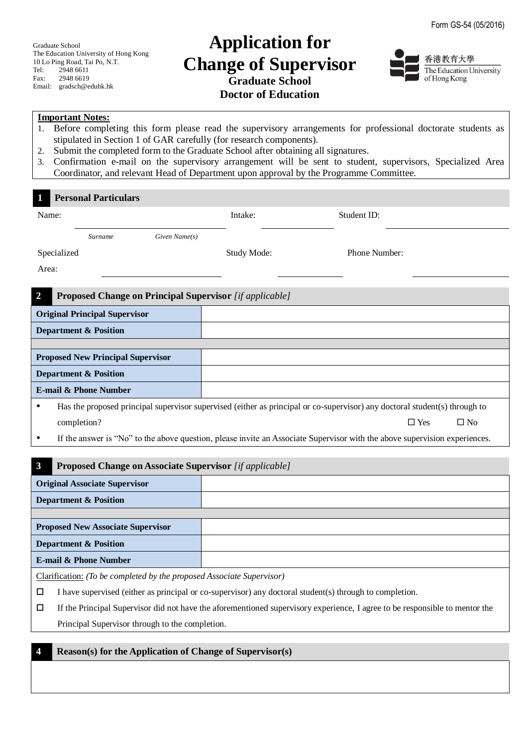Graduate School The Education University of Hong Kong 10 Lo Ping Road, Tai Po, N.T. Tel: 2948 6611 Fax: 2948 6619 Email: gradsch@eduhk.hk

## **Application for Change of Supervisor Graduate School Doctor of Education**



## **Important Notes:**

- 1. Before completing this form please read the supervisory arrangements for professional doctorate students as stipulated in Section 1 of GAR carefully (for research components).
- 2. Submit the completed form to the Graduate School after obtaining all signatures.
- 3. Confirmation e-mail on the supervisory arrangement will be sent to student, supervisors, Specialized Area Coordinator, and relevant Head of Department upon approval by the Programme Committee.

|                                                                                  | <b>Personal Particulars</b>                                                                                                |               |             |                                                                                                                            |              |
|----------------------------------------------------------------------------------|----------------------------------------------------------------------------------------------------------------------------|---------------|-------------|----------------------------------------------------------------------------------------------------------------------------|--------------|
| Name:                                                                            |                                                                                                                            |               | Intake:     | Student ID:                                                                                                                |              |
|                                                                                  | Surname                                                                                                                    | Given Name(s) |             |                                                                                                                            |              |
| Specialized                                                                      |                                                                                                                            |               | Study Mode: | Phone Number:                                                                                                              |              |
| Area:                                                                            |                                                                                                                            |               |             |                                                                                                                            |              |
|                                                                                  |                                                                                                                            |               |             |                                                                                                                            |              |
| $\overline{2}$<br><b>Proposed Change on Principal Supervisor</b> [if applicable] |                                                                                                                            |               |             |                                                                                                                            |              |
|                                                                                  | <b>Original Principal Supervisor</b>                                                                                       |               |             |                                                                                                                            |              |
|                                                                                  | <b>Department &amp; Position</b>                                                                                           |               |             |                                                                                                                            |              |
|                                                                                  |                                                                                                                            |               |             |                                                                                                                            |              |
|                                                                                  | <b>Proposed New Principal Supervisor</b>                                                                                   |               |             |                                                                                                                            |              |
|                                                                                  | <b>Department &amp; Position</b>                                                                                           |               |             |                                                                                                                            |              |
|                                                                                  | <b>E-mail &amp; Phone Number</b>                                                                                           |               |             |                                                                                                                            |              |
| ٠                                                                                | Has the proposed principal supervisor supervised (either as principal or co-supervisor) any doctoral student(s) through to |               |             |                                                                                                                            |              |
|                                                                                  | completion?                                                                                                                |               |             | $\Box$ Yes                                                                                                                 | $\square$ No |
|                                                                                  |                                                                                                                            |               |             | If the answer is "No" to the above question, please invite an Associate Supervisor with the above supervision experiences. |              |
|                                                                                  |                                                                                                                            |               |             |                                                                                                                            |              |

| $\boldsymbol{3}$                                                                                             | <b>Proposed Change on Associate Supervisor</b> [if applicable] |  |  |
|--------------------------------------------------------------------------------------------------------------|----------------------------------------------------------------|--|--|
| <b>Original Associate Supervisor</b>                                                                         |                                                                |  |  |
|                                                                                                              | <b>Department &amp; Position</b>                               |  |  |
|                                                                                                              |                                                                |  |  |
| <b>Proposed New Associate Supervisor</b>                                                                     |                                                                |  |  |
| <b>Department &amp; Position</b>                                                                             |                                                                |  |  |
| E-mail & Phone Number                                                                                        |                                                                |  |  |
| Clarification: (To be completed by the proposed Associate Supervisor)                                        |                                                                |  |  |
| I have supervised (either as principal or co-supervisor) any doctoral student(s) through to completion.<br>□ |                                                                |  |  |

 $\Box$  If the Principal Supervisor did not have the aforementioned supervisory experience, I agree to be responsible to mentor the Principal Supervisor through to the completion.

|  | <b>Reason(s) for the Application of Change of Supervisor(s)</b> |  |  |
|--|-----------------------------------------------------------------|--|--|
|--|-----------------------------------------------------------------|--|--|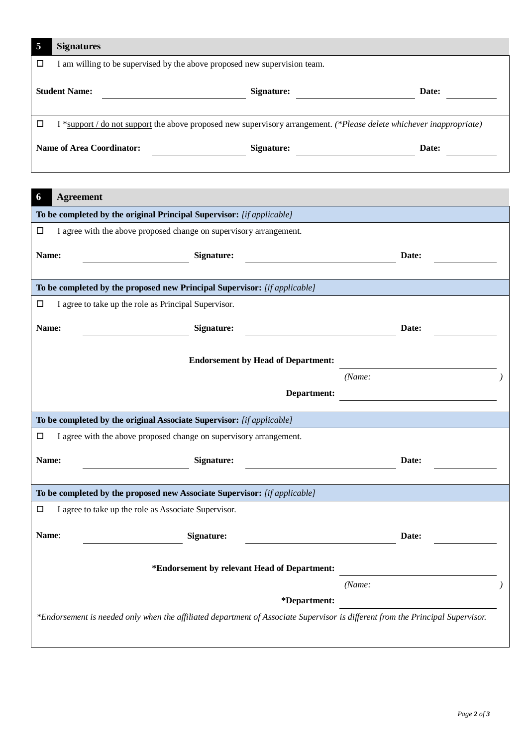| <b>Signatures</b><br>5                                                                                                    |                                                      |                                                                           |             |        |       |
|---------------------------------------------------------------------------------------------------------------------------|------------------------------------------------------|---------------------------------------------------------------------------|-------------|--------|-------|
| □                                                                                                                         |                                                      | I am willing to be supervised by the above proposed new supervision team. |             |        |       |
| <b>Student Name:</b>                                                                                                      |                                                      | Signature:                                                                |             |        | Date: |
| I *support / do not support the above proposed new supervisory arrangement. (*Please delete whichever inappropriate)<br>◻ |                                                      |                                                                           |             |        |       |
|                                                                                                                           | <b>Name of Area Coordinator:</b>                     | Signature:                                                                |             |        | Date: |
| <b>Agreement</b><br>6                                                                                                     |                                                      |                                                                           |             |        |       |
|                                                                                                                           |                                                      | To be completed by the original Principal Supervisor: [if applicable]     |             |        |       |
| □                                                                                                                         |                                                      | I agree with the above proposed change on supervisory arrangement.        |             |        |       |
| Name:                                                                                                                     |                                                      | <b>Signature:</b>                                                         |             |        | Date: |
|                                                                                                                           |                                                      |                                                                           |             |        |       |
|                                                                                                                           |                                                      | To be completed by the proposed new Principal Supervisor: [if applicable] |             |        |       |
| □                                                                                                                         | I agree to take up the role as Principal Supervisor. |                                                                           |             |        |       |
| <b>Name:</b>                                                                                                              |                                                      | Signature:                                                                |             |        | Date: |
|                                                                                                                           |                                                      |                                                                           |             |        |       |
|                                                                                                                           |                                                      | <b>Endorsement by Head of Department:</b>                                 |             |        |       |
|                                                                                                                           |                                                      |                                                                           |             | (Name: |       |
|                                                                                                                           |                                                      |                                                                           | Department: |        |       |
|                                                                                                                           |                                                      | To be completed by the original Associate Supervisor: [if applicable]     |             |        |       |
| ◻                                                                                                                         |                                                      | I agree with the above proposed change on supervisory arrangement.        |             |        |       |
| <b>Name:</b>                                                                                                              |                                                      | Signature:                                                                |             |        | Date: |
|                                                                                                                           |                                                      |                                                                           |             |        |       |

## **To be completed by the proposed new Associate Supervisor:** *[if applicable]*

I agree to take up the role as Associate Supervisor.

| Name: | Signature:                                                                                                                     | Date:        |  |
|-------|--------------------------------------------------------------------------------------------------------------------------------|--------------|--|
|       | *Endorsement by relevant Head of Department:                                                                                   |              |  |
|       |                                                                                                                                | (Name:       |  |
|       |                                                                                                                                | *Department: |  |
|       | *Endorsement is needed only when the affiliated department of Associate Supervisor is different from the Principal Supervisor. |              |  |